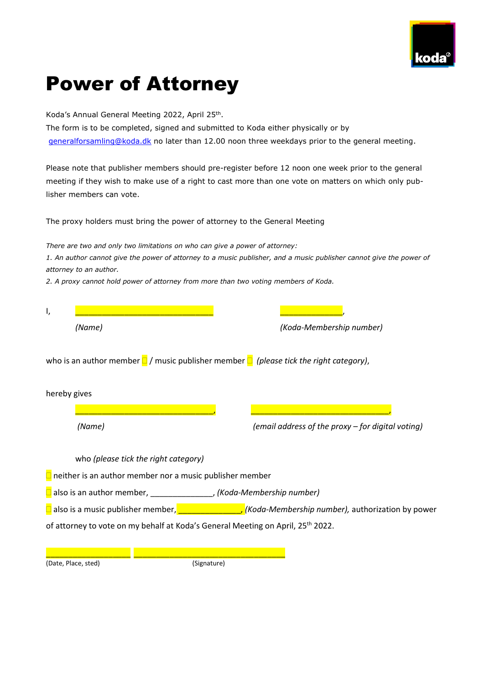

# Power of Attorney

Koda's Annual General Meeting 2022, April 25<sup>th</sup>.

The form is to be completed, signed and submitted to Koda either physically or by [generalforsamling@koda.dk](mailto:generalforsamling@koda.dk) no later than 12.00 noon three weekdays prior to the general meeting.

Please note that publisher members should pre-register before 12 noon one week prior to the general meeting if they wish to make use of a right to cast more than one vote on matters on which only publisher members can vote.

The proxy holders must bring the power of attorney to the General Meeting

*There are two and only two limitations on who can give a power of attorney:*

*1. An author cannot give the power of attorney to a music publisher, and a music publisher cannot give the power of attorney to an author.*

*2. A proxy cannot hold power of attorney from more than two voting members of Koda.*

| ۱,                                                                                               |                                      |                                                                                                                |
|--------------------------------------------------------------------------------------------------|--------------------------------------|----------------------------------------------------------------------------------------------------------------|
|                                                                                                  | (Name)                               | (Koda-Membership number)                                                                                       |
| who is an author member $\Box$ / music publisher member $\Box$ (please tick the right category), |                                      |                                                                                                                |
| hereby gives                                                                                     |                                      |                                                                                                                |
|                                                                                                  |                                      |                                                                                                                |
|                                                                                                  | (Name)                               | (email address of the proxy - for digital voting)                                                              |
|                                                                                                  | who (please tick the right category) |                                                                                                                |
| $\Box$ neither is an author member nor a music publisher member                                  |                                      |                                                                                                                |
| also is an author member, ___________________, (Koda-Membership number)                          |                                      |                                                                                                                |
|                                                                                                  |                                      | $\Box$ also is a music publisher member, $\Box$ $\Box$ $\Box$ (Koda-Membership number), authorization by power |
| of attorney to vote on my behalf at Koda's General Meeting on April, 25 <sup>th</sup> 2022.      |                                      |                                                                                                                |
|                                                                                                  |                                      |                                                                                                                |

(Date, Place, sted) (Signature)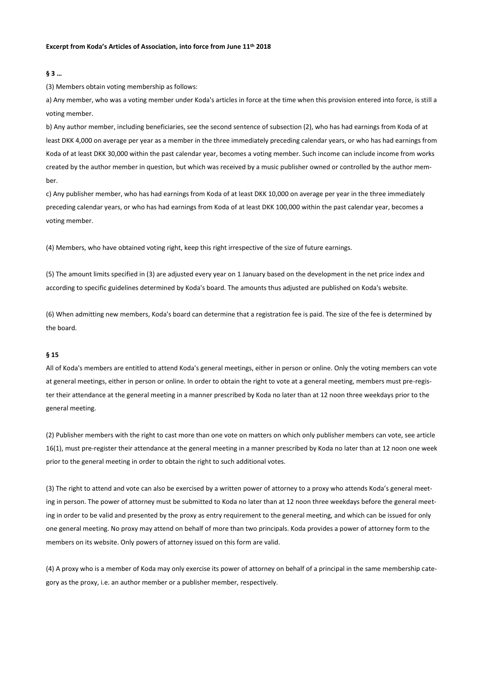#### **Excerpt from Koda's Articles of Association, into force from June 11th 2018**

### **§ 3 …**

(3) Members obtain voting membership as follows:

a) Any member, who was a voting member under Koda's articles in force at the time when this provision entered into force, is still a voting member.

b) Any author member, including beneficiaries, see the second sentence of subsection (2), who has had earnings from Koda of at least DKK 4,000 on average per year as a member in the three immediately preceding calendar years, or who has had earnings from Koda of at least DKK 30,000 within the past calendar year, becomes a voting member. Such income can include income from works created by the author member in question, but which was received by a music publisher owned or controlled by the author member.

c) Any publisher member, who has had earnings from Koda of at least DKK 10,000 on average per year in the three immediately preceding calendar years, or who has had earnings from Koda of at least DKK 100,000 within the past calendar year, becomes a voting member.

(4) Members, who have obtained voting right, keep this right irrespective of the size of future earnings.

(5) The amount limits specified in (3) are adjusted every year on 1 January based on the development in the net price index and according to specific guidelines determined by Koda's board. The amounts thus adjusted are published on Koda's website.

(6) When admitting new members, Koda's board can determine that a registration fee is paid. The size of the fee is determined by the board.

# **§ 15**

All of Koda's members are entitled to attend Koda's general meetings, either in person or online. Only the voting members can vote at general meetings, either in person or online. In order to obtain the right to vote at a general meeting, members must pre-register their attendance at the general meeting in a manner prescribed by Koda no later than at 12 noon three weekdays prior to the general meeting.

(2) Publisher members with the right to cast more than one vote on matters on which only publisher members can vote, see article 16(1), must pre-register their attendance at the general meeting in a manner prescribed by Koda no later than at 12 noon one week prior to the general meeting in order to obtain the right to such additional votes.

(3) The right to attend and vote can also be exercised by a written power of attorney to a proxy who attends Koda's general meeting in person. The power of attorney must be submitted to Koda no later than at 12 noon three weekdays before the general meeting in order to be valid and presented by the proxy as entry requirement to the general meeting, and which can be issued for only one general meeting. No proxy may attend on behalf of more than two principals. Koda provides a power of attorney form to the members on its website. Only powers of attorney issued on this form are valid.

(4) A proxy who is a member of Koda may only exercise its power of attorney on behalf of a principal in the same membership category as the proxy, i.e. an author member or a publisher member, respectively.